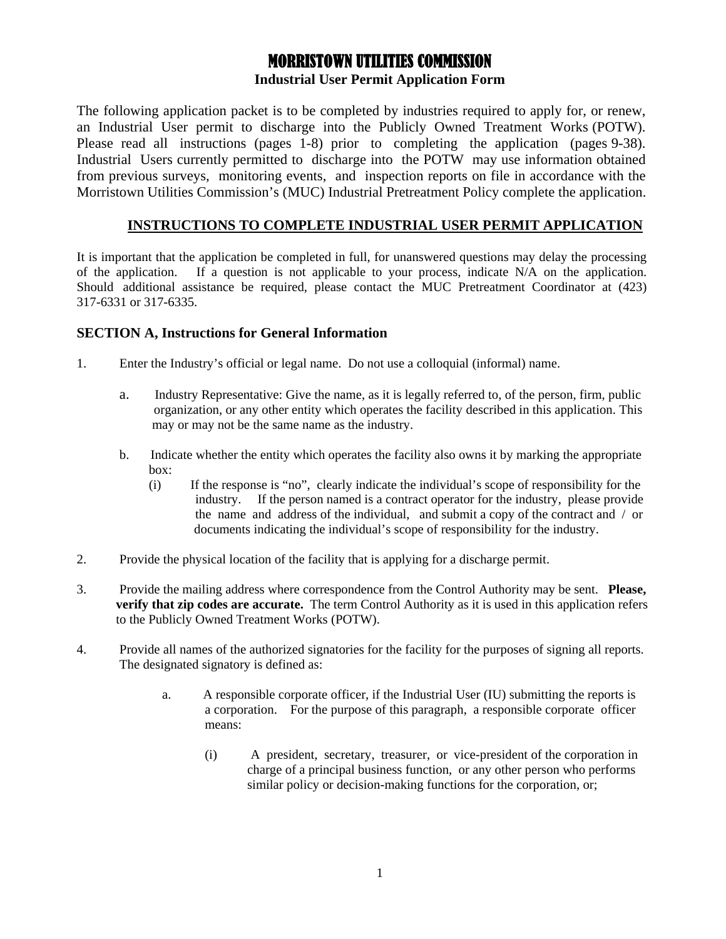# MORRISTOWN UTILITIES COMMISSION **Industrial User Permit Application Form**

The following application packet is to be completed by industries required to apply for, or renew, an Industrial User permit to discharge into the Publicly Owned Treatment Works (POTW). Please read all instructions (pages 1-8) prior to completing the application (pages 9-38). Industrial Users currently permitted to discharge into the POTW may use information obtained from previous surveys, monitoring events, and inspection reports on file in accordance with the Morristown Utilities Commission's (MUC) Industrial Pretreatment Policy complete the application.

# **INSTRUCTIONS TO COMPLETE INDUSTRIAL USER PERMIT APPLICATION**

It is important that the application be completed in full, for unanswered questions may delay the processing of the application. If a question is not applicable to your process, indicate N/A on the application. Should additional assistance be required, please contact the MUC Pretreatment Coordinator at (423) 317-6331 or 317-6335.

### **SECTION A, Instructions for General Information**

- 1. Enter the Industry's official or legal name. Do not use a colloquial (informal) name.
	- a. Industry Representative: Give the name, as it is legally referred to, of the person, firm, public organization, or any other entity which operates the facility described in this application. This may or may not be the same name as the industry.
	- b. Indicate whether the entity which operates the facility also owns it by marking the appropriate box:
		- (i) If the response is "no", clearly indicate the individual's scope of responsibility for the industry. If the person named is a contract operator for the industry, please provide the name and address of the individual, and submit a copy of the contract and / or documents indicating the individual's scope of responsibility for the industry.
- 2. Provide the physical location of the facility that is applying for a discharge permit.
- 3. Provide the mailing address where correspondence from the Control Authority may be sent. **Please, verify that zip codes are accurate.** The term Control Authority as it is used in this application refers to the Publicly Owned Treatment Works (POTW).
- 4. Provide all names of the authorized signatories for the facility for the purposes of signing all reports. The designated signatory is defined as:
	- a. A responsible corporate officer, if the Industrial User (IU) submitting the reports is a corporation. For the purpose of this paragraph, a responsible corporate officer means:
		- (i) A president, secretary, treasurer, or vice-president of the corporation in charge of a principal business function, or any other person who performs similar policy or decision-making functions for the corporation, or;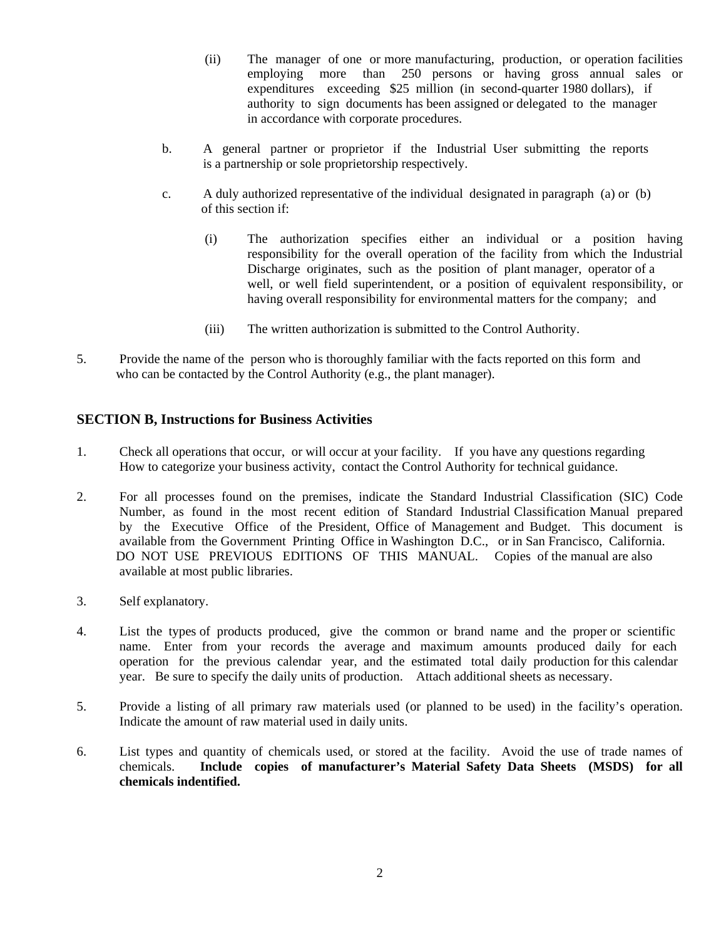- (ii) The manager of one or more manufacturing, production, or operation facilities employing more than 250 persons or having gross annual sales or expenditures exceeding \$25 million (in second-quarter 1980 dollars), if authority to sign documents has been assigned or delegated to the manager in accordance with corporate procedures.
- b. A general partner or proprietor if the Industrial User submitting the reports is a partnership or sole proprietorship respectively.
- c. A duly authorized representative of the individual designated in paragraph (a) or (b) of this section if:
	- (i) The authorization specifies either an individual or a position having responsibility for the overall operation of the facility from which the Industrial Discharge originates, such as the position of plant manager, operator of a well, or well field superintendent, or a position of equivalent responsibility, or having overall responsibility for environmental matters for the company; and
	- (iii) The written authorization is submitted to the Control Authority.
- 5. Provide the name of the person who is thoroughly familiar with the facts reported on this form and who can be contacted by the Control Authority (e.g., the plant manager).

#### **SECTION B, Instructions for Business Activities**

- 1. Check all operations that occur, or will occur at your facility. If you have any questions regarding How to categorize your business activity, contact the Control Authority for technical guidance.
- 2. For all processes found on the premises, indicate the Standard Industrial Classification (SIC) Code Number, as found in the most recent edition of Standard Industrial Classification Manual prepared by the Executive Office of the President, Office of Management and Budget. This document is available from the Government Printing Office in Washington D.C., or in San Francisco, California. DO NOT USE PREVIOUS EDITIONS OF THIS MANUAL. Copies of the manual are also available at most public libraries.
- 3. Self explanatory.
- 4. List the types of products produced, give the common or brand name and the proper or scientific name. Enter from your records the average and maximum amounts produced daily for each operation for the previous calendar year, and the estimated total daily production for this calendar year. Be sure to specify the daily units of production. Attach additional sheets as necessary.
- 5. Provide a listing of all primary raw materials used (or planned to be used) in the facility's operation. Indicate the amount of raw material used in daily units.
- 6. List types and quantity of chemicals used, or stored at the facility. Avoid the use of trade names of chemicals. **Include copies of manufacturer's Material Safety Data Sheets (MSDS) for all chemicals indentified.**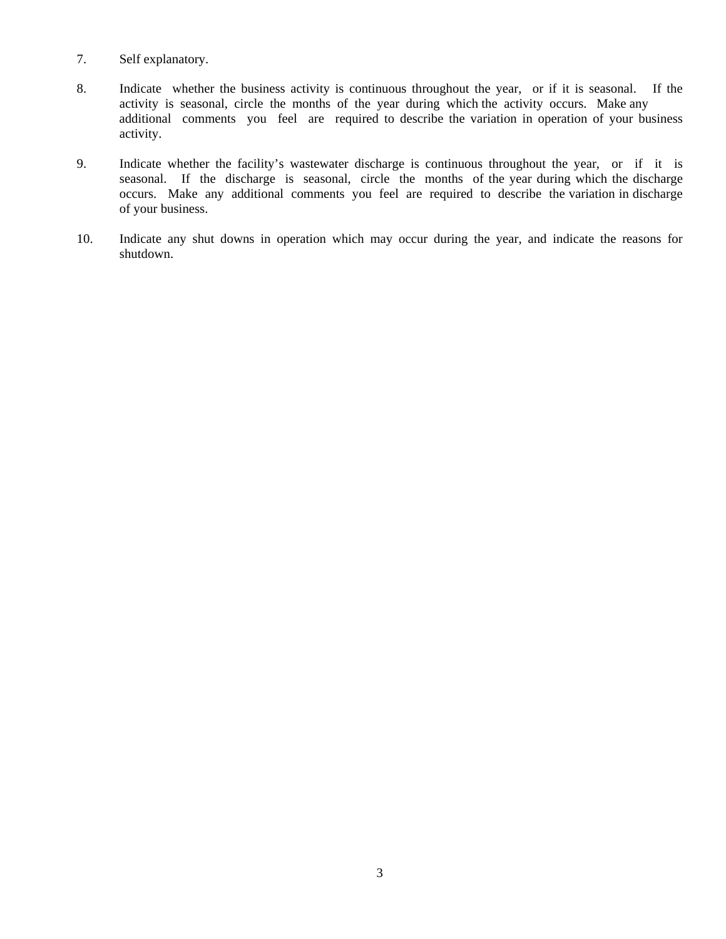- 7. Self explanatory.
- 8. Indicate whether the business activity is continuous throughout the year, or if it is seasonal. If the activity is seasonal, circle the months of the year during which the activity occurs. Make any additional comments you feel are required to describe the variation in operation of your business activity.
- 9. Indicate whether the facility's wastewater discharge is continuous throughout the year, or if it is seasonal. If the discharge is seasonal, circle the months of the year during which the discharge occurs. Make any additional comments you feel are required to describe the variation in discharge of your business.
- 10. Indicate any shut downs in operation which may occur during the year, and indicate the reasons for shutdown.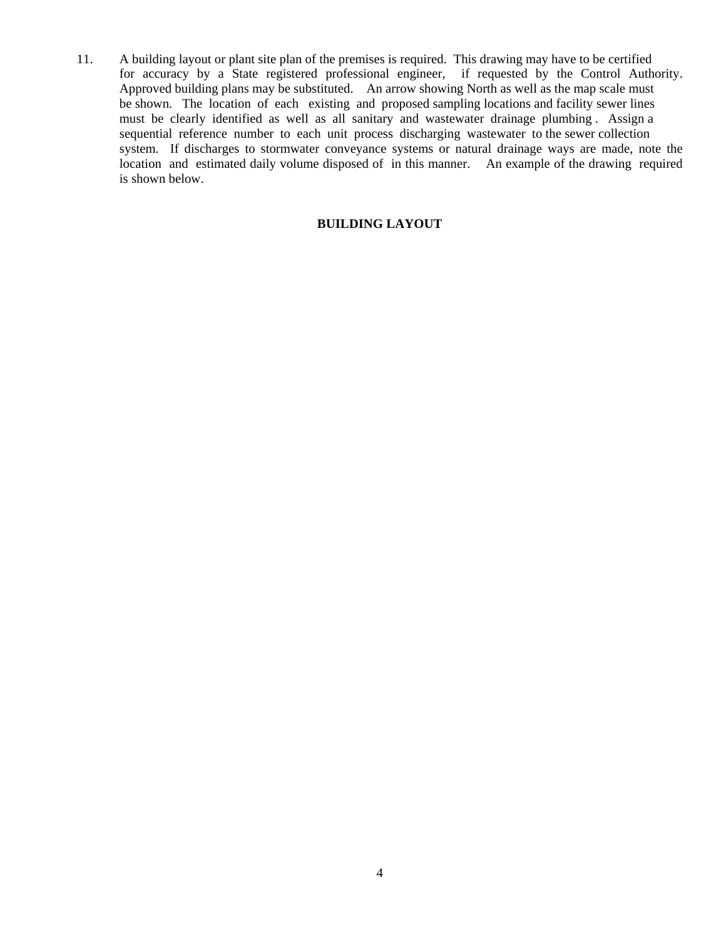11. A building layout or plant site plan of the premises is required. This drawing may have to be certified for accuracy by a State registered professional engineer, if requested by the Control Authority. Approved building plans may be substituted. An arrow showing North as well as the map scale must be shown. The location of each existing and proposed sampling locations and facility sewer lines must be clearly identified as well as all sanitary and wastewater drainage plumbing . Assign a sequential reference number to each unit process discharging wastewater to the sewer collection system. If discharges to stormwater conveyance systems or natural drainage ways are made, note the location and estimated daily volume disposed of in this manner. An example of the drawing required is shown below.

#### **BUILDING LAYOUT**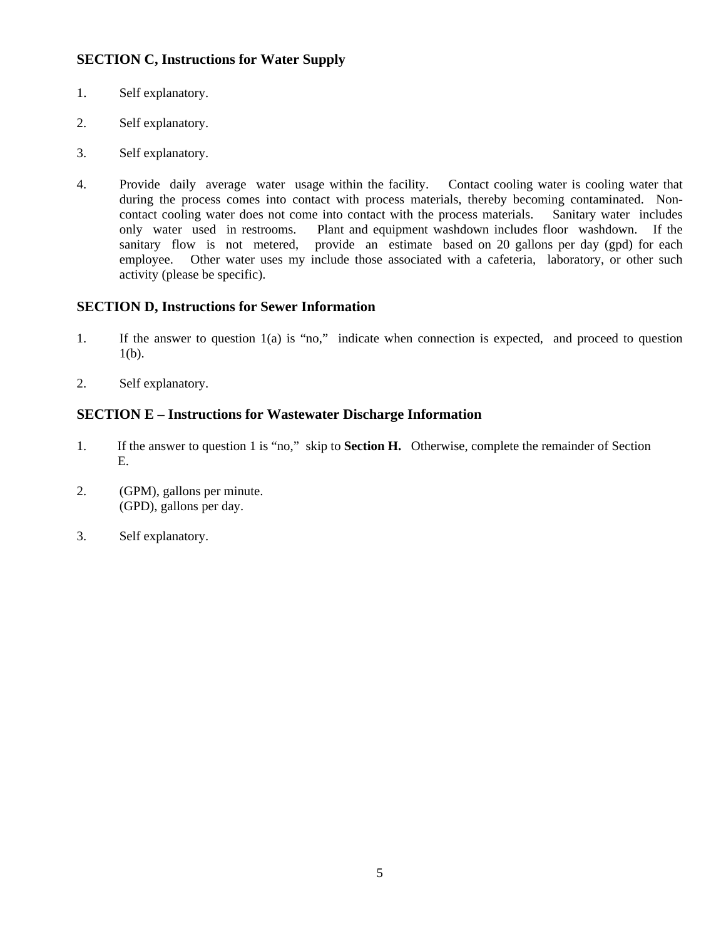# **SECTION C, Instructions for Water Supply**

- 1. Self explanatory.
- 2. Self explanatory.
- 3. Self explanatory.
- 4. Provide daily average water usage within the facility. Contact cooling water is cooling water that during the process comes into contact with process materials, thereby becoming contaminated. Noncontact cooling water does not come into contact with the process materials. Sanitary water includes only water used in restrooms. Plant and equipment washdown includes floor washdown. If the sanitary flow is not metered, provide an estimate based on 20 gallons per day (gpd) for each employee. Other water uses my include those associated with a cafeteria, laboratory, or other such activity (please be specific).

# **SECTION D, Instructions for Sewer Information**

- 1. If the answer to question 1(a) is "no," indicate when connection is expected, and proceed to question  $1(b)$ .
- 2. Self explanatory.

# **SECTION E – Instructions for Wastewater Discharge Information**

- 1. If the answer to question 1 is "no," skip to **Section H.** Otherwise, complete the remainder of Section E.
- 2. (GPM), gallons per minute. (GPD), gallons per day.
- 3. Self explanatory.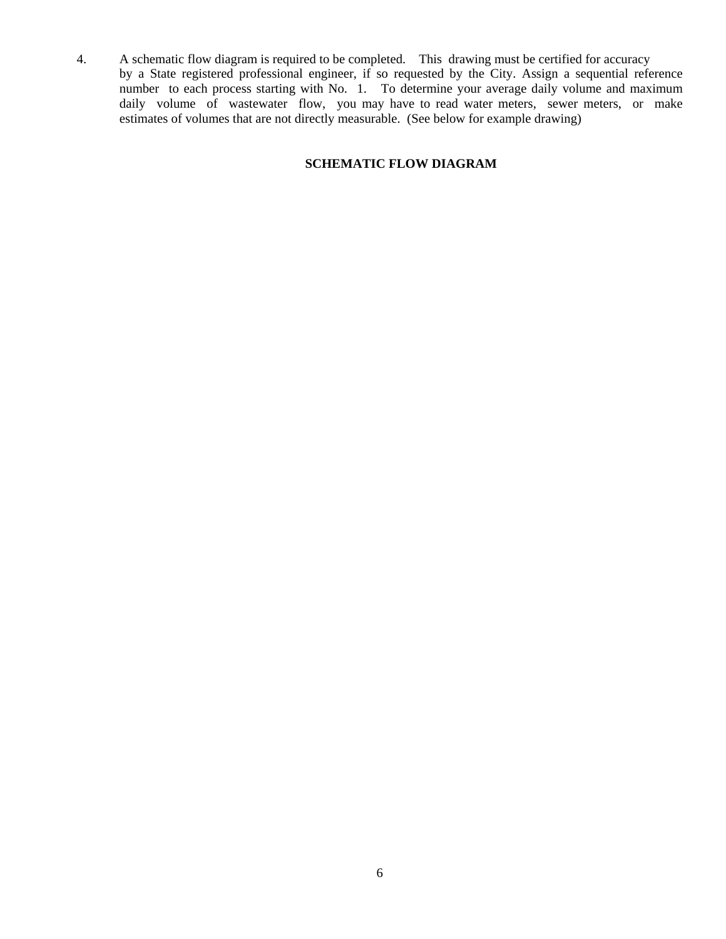4. A schematic flow diagram is required to be completed. This drawing must be certified for accuracy by a State registered professional engineer, if so requested by the City. Assign a sequential reference number to each process starting with No. 1. To determine your average daily volume and maximum daily volume of wastewater flow, you may have to read water meters, sewer meters, or make estimates of volumes that are not directly measurable. (See below for example drawing)

#### **SCHEMATIC FLOW DIAGRAM**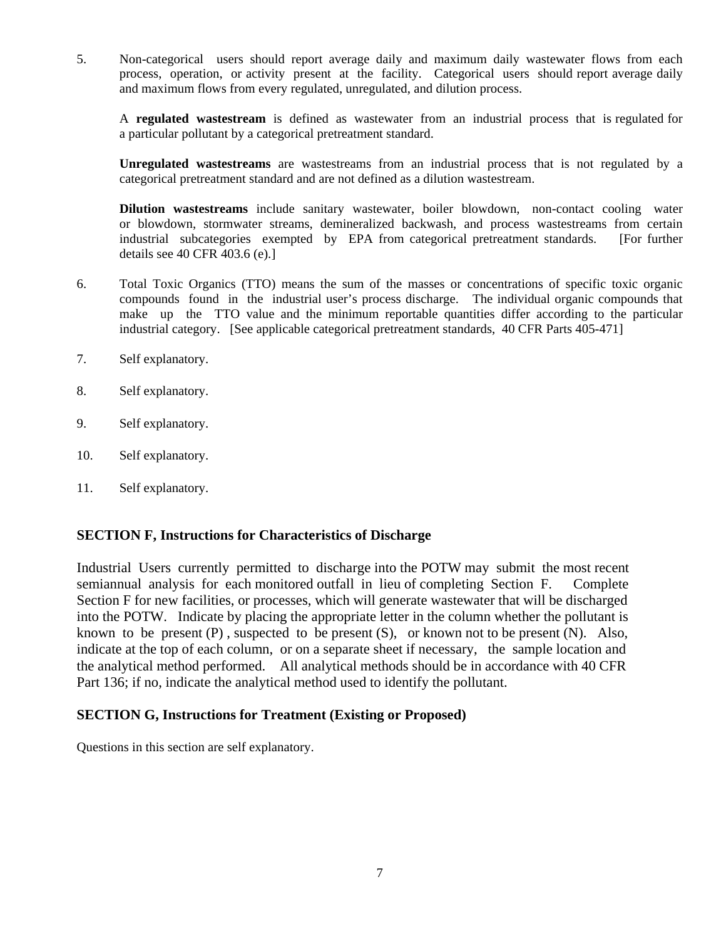5. Non-categorical users should report average daily and maximum daily wastewater flows from each process, operation, or activity present at the facility. Categorical users should report average daily and maximum flows from every regulated, unregulated, and dilution process.

A **regulated wastestream** is defined as wastewater from an industrial process that is regulated for a particular pollutant by a categorical pretreatment standard.

**Unregulated wastestreams** are wastestreams from an industrial process that is not regulated by a categorical pretreatment standard and are not defined as a dilution wastestream.

**Dilution wastestreams** include sanitary wastewater, boiler blowdown, non-contact cooling water or blowdown, stormwater streams, demineralized backwash, and process wastestreams from certain industrial subcategories exempted by EPA from categorical pretreatment standards. [For further details see 40 CFR 403.6 (e).]

- 6. Total Toxic Organics (TTO) means the sum of the masses or concentrations of specific toxic organic compounds found in the industrial user's process discharge. The individual organic compounds that make up the TTO value and the minimum reportable quantities differ according to the particular industrial category. [See applicable categorical pretreatment standards, 40 CFR Parts 405-471]
- 7. Self explanatory.
- 8. Self explanatory.
- 9. Self explanatory.
- 10. Self explanatory.
- 11. Self explanatory.

### **SECTION F, Instructions for Characteristics of Discharge**

Industrial Users currently permitted to discharge into the POTW may submit the most recent semiannual analysis for each monitored outfall in lieu of completing Section F. Complete Section F for new facilities, or processes, which will generate wastewater that will be discharged into the POTW. Indicate by placing the appropriate letter in the column whether the pollutant is known to be present  $(P)$ , suspected to be present  $(S)$ , or known not to be present  $(N)$ . Also, indicate at the top of each column, or on a separate sheet if necessary, the sample location and the analytical method performed. All analytical methods should be in accordance with 40 CFR Part 136; if no, indicate the analytical method used to identify the pollutant.

#### **SECTION G, Instructions for Treatment (Existing or Proposed)**

Questions in this section are self explanatory.